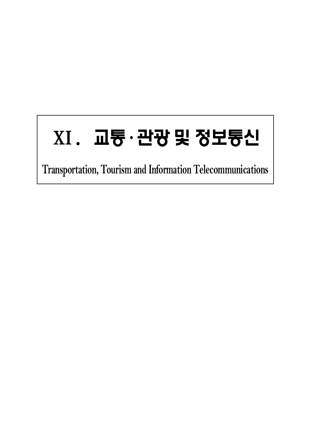# ⅩⅠ. 교통·관광 및 정보통신

**Transportation, Tourism and Information Telecommunications**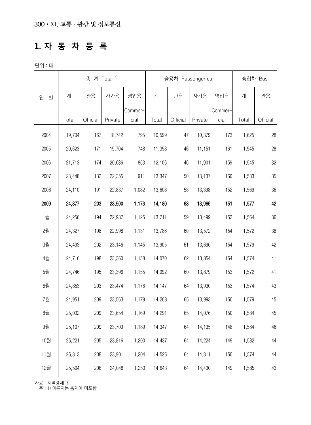#### **1. 자 동 차 등 록**

단위 : 대

|        |        | 총 계 Total <sup>1)</sup> |         |         |        | 승용차 Passenger car |         |         | 승합차 Bus |          |  |
|--------|--------|-------------------------|---------|---------|--------|-------------------|---------|---------|---------|----------|--|
| 연<br>별 | 계      | 관용                      | 자가용     | 영업용     | 계      | 관용                | 자가용     | 영업용     | 계       | 관용       |  |
|        |        |                         |         | Commer- |        |                   |         | Commer- |         |          |  |
|        | Total  | Official                | Private | cial    | Total  | Official          | Private | cial    | Total   | Official |  |
| 2004   | 19,704 | 167                     | 18,742  | 795     | 10,599 | 47                | 10,379  | 173     | 1,625   | 28       |  |
| 2005   | 20,623 | 171                     | 19,704  | 748     | 11,358 | 46                | 11,151  | 161     | 1,545   | 28       |  |
| 2006   | 21,713 | 174                     | 20,686  | 853     | 12,106 | 46                | 11,901  | 159     | 1,545   | 32       |  |
| 2007   | 23,448 | 182                     | 22,355  | 911     | 13,347 | 50                | 13,137  | 160     | 1,533   | 35       |  |
| 2008   | 24,110 | 191                     | 22,837  | 1,082   | 13,608 | 58                | 13,398  | 152     | 1,569   | 36       |  |
| 2009   | 24,877 | 203                     | 23,500  | 1,173   | 14,180 | 63                | 13,966  | 151     | 1,577   | 42       |  |
| 1월     | 24,256 | 194                     | 22,937  | 1,125   | 13,711 | 59                | 13,499  | 153     | 1,564   | 36       |  |
| 2월     | 24,327 | 198                     | 22,998  | 1,131   | 13,786 | 60                | 13,572  | 154     | 1,572   | 38       |  |
| 3월     | 24,493 | 202                     | 23,146  | 1,145   | 13,905 | 61                | 13,690  | 154     | 1,579   | 42       |  |
| 4월     | 24,716 | 198                     | 23,360  | 1,158   | 14,070 | 62                | 13,854  | 154     | 1,574   | 41       |  |
| 5월     | 24,746 | 195                     | 23,396  | 1,155   | 14,092 | 60                | 13,879  | 153     | 1,572   | 41       |  |
| 6월     | 24,853 | 203                     | 23,474  | 1,176   | 14,147 | 64                | 13,930  | 153     | 1,574   | 43       |  |
| 7월     | 24,951 | 209                     | 23,563  | 1,179   | 14,208 | 65                | 13,993  | 150     | 1,579   | 45       |  |
| 8월     | 25,032 | 209                     | 23,654  | 1,169   | 14,291 | 65                | 14,076  | 150     | 1,584   | 45       |  |
| 9월     | 25,107 | 209                     | 23,709  | 1,189   | 14,347 | 64                | 14,135  | 148     | 1,584   | 46       |  |
| 10월    | 25,221 | 205                     | 23,816  | 1,200   | 14,437 | 64                | 14,224  | 149     | 1,582   | 44       |  |
| 11월    | 25,313 | 208                     | 23,901  | 1,204   | 14,525 | 64                | 14,311  | 150     | 1,574   | 44       |  |
| 12월    | 25,504 | 206                     | 24,048  | 1,250   | 14,643 | 64                | 14,430  | 149     | 1,585   | 43       |  |

자료 : 지역경제과

주 : 1) 이륜차는 총계에 미포함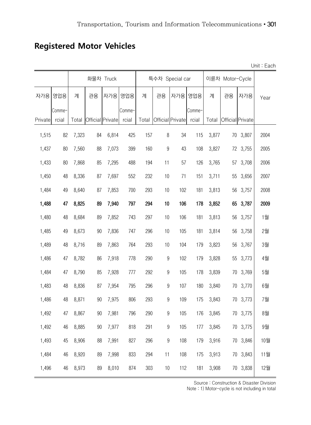## **Registered Motor Vehicles**

|         |        |       |    |                  |        |       |                  |                  |        | Unit: Each |                  |          |      |
|---------|--------|-------|----|------------------|--------|-------|------------------|------------------|--------|------------|------------------|----------|------|
|         |        |       |    | 화물차 Truck        |        |       |                  | 특수차 Special car  |        |            | 이륜차 Motor-Cycle  |          |      |
| 자가용     | 영업용    | 계     | 관용 | 자가용              | 영업용    | 계     | 관용               | 자가용              | 영업용    | 계          | 관용               | 자가용      | Year |
|         | Comme- |       |    |                  | Comme- |       |                  |                  | Comme- |            |                  |          |      |
| Private | rcial  | Total |    | Official Private | rcial  | Total |                  | Official Private | rcial  | Total      | Official Private |          |      |
| 1,515   | 82     | 7,323 | 84 | 6,814            | 425    | 157   | 8                | 34               | 115    | 3,877      |                  | 70 3,807 | 2004 |
| 1,437   | 80     | 7,560 | 88 | 7,073            | 399    | 160   | $\boldsymbol{9}$ | 43               | 108    | 3,827      |                  | 72 3,755 | 2005 |
| 1,433   | 80     | 7,868 | 85 | 7,295            | 488    | 194   | 11               | 57               | 126    | 3,765      | 57               | 3,708    | 2006 |
| 1,450   | 48     | 8,336 | 87 | 7,697            | 552    | 232   | 10               | 71               | 151    | 3,711      | 55               | 3,656    | 2007 |
| 1,484   | 49     | 8,640 | 87 | 7,853            | 700    | 293   | 10               | 102              | 181    | 3,813      | 56               | 3,757    | 2008 |
| 1,488   | 47     | 8,825 | 89 | 7,940            | 797    | 294   | 10               | 106              | 178    | 3,852      | 65               | 3,787    | 2009 |
| 1,480   | 48     | 8,684 | 89 | 7,852            | 743    | 297   | 10               | 106              | 181    | 3,813      | 56               | 3,757    | 1월   |
| 1,485   | 49     | 8,673 | 90 | 7,836            | 747    | 296   | 10               | 105              | 181    | 3,814      | 56               | 3,758    | 2월   |
| 1,489   | 48     | 8,716 | 89 | 7,863            | 764    | 293   | 10               | 104              | 179    | 3,823      | 56               | 3,767    | 3월   |
| 1,486   | 47     | 8,782 | 86 | 7,918            | 778    | 290   | $\boldsymbol{9}$ | 102              | 179    | 3,828      | 55               | 3,773    | 4월   |
| 1,484   | 47     | 8,790 | 85 | 7,928            | 777    | 292   | $\boldsymbol{9}$ | 105              | 178    | 3,839      | 70               | 3,769    | 5월   |
| 1,483   | 48     | 8,836 | 87 | 7,954            | 795    | 296   | $\boldsymbol{9}$ | 107              | 180    | 3,840      | 70               | 3,770    | 6월   |
| 1,486   | 48     | 8,871 | 90 | 7,975            | 806    | 293   | $\boldsymbol{9}$ | 109              | 175    | 3,843      | 70               | 3,773    | 7월   |
| 1,492   | 47     | 8,867 | 90 | 7,981            | 796    | 290   | $\boldsymbol{9}$ | 105              | 176    | 3,845      | 70               | 3,775    | 8월   |
| 1,492   | 46     | 8,885 | 90 | 7,977            | 818    | 291   | $\boldsymbol{9}$ | 105              | 177    | 3,845      |                  | 70 3,775 | 9월   |
| 1,493   | 45     | 8,906 | 88 | 7,991            | 827    | 296   | $\boldsymbol{9}$ | 108              | 179    | 3,916      |                  | 70 3,846 | 10월  |
| 1,484   | 46     | 8,920 | 89 | 7,998            | 833    | 294   | 11               | 108              | 175    | 3,913      |                  | 70 3,843 | 11월  |
| 1,496   | 46     | 8,973 | 89 | 8,010            | 874    | 303   | 10               | 112              | 181    | 3,908      |                  | 70 3,838 | 12월  |

Source : Construction & Disaster Division

Note : 1) Motor-cycle is not including in total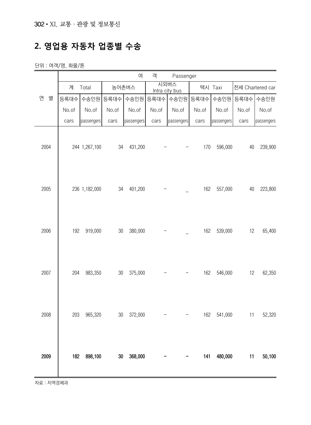## **2. 영업용 자동차 업종별 수송**

단위 : 여객/명, 화물/톤

|        | 여<br>객<br>Passenger |               |        |            |           |                        |       |            |       |                  |  |  |
|--------|---------------------|---------------|--------|------------|-----------|------------------------|-------|------------|-------|------------------|--|--|
|        | 계                   | Total         | 농어촌버스  |            |           | 시외버스<br>Intra city bus |       | 택시 Taxi    |       | 전세 Chartered car |  |  |
| 연<br>별 | 등록대수                | 수송인원          | 등록대수   | 수송인원       | 등록대수 수송인원 |                        | 등록대수  | 수송인원       | 등록대수  | 수송인원             |  |  |
|        | No.of               | No.of         | No.of  | No.of      | No.of     | No.of                  | No.of | No.of      | No.of | No.of            |  |  |
|        | cars                | passengers    | cars   | passengers | cars      | passengers             | cars  | passengers | cars  | passengers       |  |  |
| 2004   |                     | 244 1,267,100 | 34     | 431,200    |           |                        | 170   | 596,000    | 40    | 239,900          |  |  |
| 2005   |                     | 236 1,182,000 | 34     | 401,200    |           |                        | 162   | 557,000    | 40    | 223,800          |  |  |
| 2006   | 192                 | 919,000       | $30\,$ | 380,000    |           |                        | 162   | 539,000    | 12    | 65,400           |  |  |
| 2007   | 204                 | 983,350       | $30\,$ | 375,000    |           |                        | 162   | 546,000    | 12    | 62,350           |  |  |
| 2008   | 203                 | 965,320       | $30\,$ | 372,000    |           |                        | 162   | 541,000    | 11    | 52,320           |  |  |
| 2009   | 182                 | 898,100       | $30\,$ | 368,000    |           |                        | 141   | 480,000    | 11    | 50,100           |  |  |

자료 : 지역경제과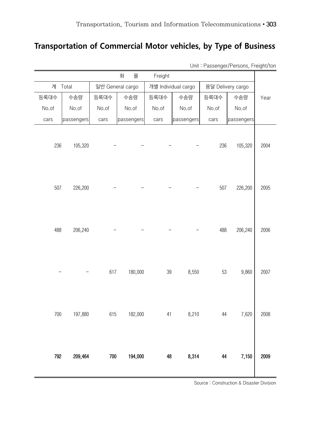#### **Transportation of Commercial Motor vehicles, by Type of Business**

|       |            |         | 화<br>물           | Freight |                     |       |                   |      |
|-------|------------|---------|------------------|---------|---------------------|-------|-------------------|------|
| 계     | Total      |         | 일반 General cargo |         | 개별 Individual cargo |       | 용달 Delivery cargo |      |
| 등록대수  | 수송량        | 등록대수    | 수송량              | 등록대수    | 수송량                 | 등록대수  | 수송량               | Year |
| No.of | No.of      | No.of   | No.of            | No.of   | No.of               | No.of | No.of             |      |
| cars  | passengers | cars    | passengers       | cars    | passengers          | cars  | passengers        |      |
| 236   | 105,320    |         |                  |         |                     | 236   | 105,320           | 2004 |
| 507   | 226,200    |         |                  |         |                     | 507   | 226,200           | 2005 |
| 488   | 206,240    |         |                  |         |                     | 488   | 206,240           | 2006 |
|       |            | 617     | 180,000          | 39      | 8,550               | 53    | 9,860             | 2007 |
| 700   | 197,880    | 615     | 182,000          | 41      | 8,210               | 44    | 7,620             | 2008 |
| 792   | 209,464    | $700\,$ | 194,000          | 48      | 8,314               | 44    | 7,150             | 2009 |

Unit : Passenger/Persons, Freight/ton

Source : Construction & Disaster Division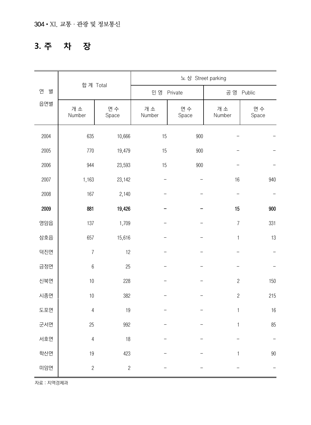## **3. 주 차 장**

|        |                  |                |              | 노상 Street parking |                |             |
|--------|------------------|----------------|--------------|-------------------|----------------|-------------|
| 연<br>별 | 합계 Total         |                | 민 영          | Private           | 공 영            | Public      |
| 읍면별    | 개소<br>Number     | 면수<br>Space    | 개소<br>Number | 면수<br>Space       | 개소<br>Number   | 면수<br>Space |
| 2004   | 635              | 10,666         | 15           | 900               |                |             |
| 2005   | 770              | 19,479         | 15           | 900               |                |             |
| 2006   | 944              | 23,593         | 15           | 900               |                |             |
| 2007   | 1,163            | 23,142         |              |                   | 16             | 940         |
| 2008   | 167              | 2,140          |              |                   |                |             |
| 2009   | 881              | 19,426         |              |                   | 15             | 900         |
| 영암읍    | 137              | 1,709          |              |                   | $\overline{7}$ | 331         |
| 삼호읍    | 657              | 15,616         |              |                   | $\mathbf{1}$   | 13          |
| 덕진면    | $\boldsymbol{7}$ | 12             |              |                   |                |             |
| 금정면    | $\boldsymbol{6}$ | 25             |              |                   |                |             |
| 신북면    | 10               | 228            |              |                   | $\mathbf{2}$   | 150         |
| 시종면    | 10               | 382            |              |                   | $\overline{c}$ | 215         |
| 도포면    | $\overline{4}$   | 19             |              |                   | $\mathbf{1}$   | 16          |
| 군서면    | 25               | 992            |              |                   | 1              | 85          |
| 서호면    | $\sqrt{4}$       | 18             |              |                   |                |             |
| 학산면    | 19               | 423            |              |                   | 1              | 90          |
| 미암면    | $\overline{c}$   | $\overline{c}$ |              |                   |                |             |

.<br>자료 : 지역경제과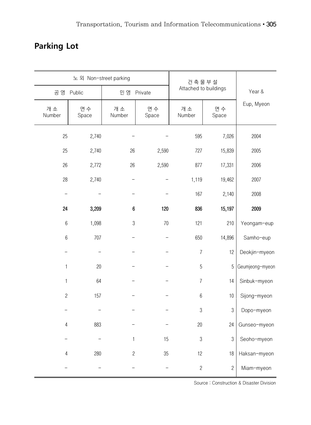## **Parking Lot**

|                  | 노 외 Non-street parking |                  |             | 건축물부설                 |                |                 |
|------------------|------------------------|------------------|-------------|-----------------------|----------------|-----------------|
| 공 영              | Public                 | 민 영              | Private     | Attached to buildings |                | Year &          |
| 개소<br>Number     | 면수<br>Space            | 개소<br>Number     | 면수<br>Space | 개소<br>Number          | 면수<br>Space    | Eup, Myeon      |
| 25               | 2,740                  |                  |             | 595                   | 7,026          | 2004            |
| 25               | 2,740                  | 26               | 2,590       | 727                   | 15,839         | 2005            |
| 26               | 2,772                  | 26               | 2,590       | 877                   | 17,331         | 2006            |
| 28               | 2,740                  |                  |             | 1,119                 | 19,462         | 2007            |
|                  |                        |                  |             | 167                   | 2,140          | 2008            |
| 24               | 3,209                  | $\boldsymbol{6}$ | 120         | 836                   | 15,197         | 2009            |
| $\boldsymbol{6}$ | 1,098                  | $\sqrt{3}$       | 70          | 121                   | 210            | Yeongam-eup     |
| $6\,$            | 707                    |                  |             | 650                   | 14,896         | Samho-eup       |
|                  |                        |                  |             | $\boldsymbol{7}$      | 12             | Deokjin-myeon   |
| 1                | 20                     |                  |             | $\overline{5}$        | 5              | Geumjeong-myeon |
| 1                | 64                     |                  |             | $\overline{I}$        | 14             | Sinbuk-myeon    |
| $\mathbf{2}$     | 157                    |                  |             | $\boldsymbol{6}$      | 10             | Sijong-myeon    |
|                  |                        |                  |             | 3                     | 3              | Dopo-myeon      |
| 4                | 883                    |                  |             | $20\,$                | 24             | Gunseo-myeon    |
|                  |                        | 1                | 15          | $\sqrt{3}$            | 3              | Seoho-myeon     |
| 4                | 280                    | $\overline{c}$   | 35          | 12                    | 18             | Haksan-myeon    |
|                  |                        |                  |             | $\overline{c}$        | $\overline{c}$ | Miam-myeon      |

Source : Construction & Disaster Division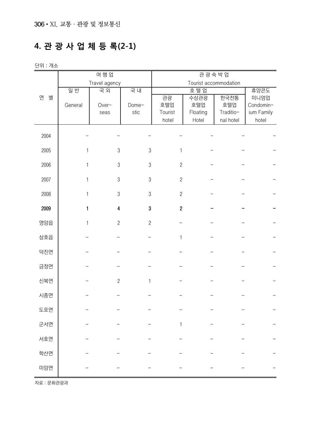### **4. 관 광 사 업 체 등 록(2-1)**

| 단위 : 개소 |  |  |
|---------|--|--|
|---------|--|--|

| Travel agency<br>Tourist accommodation<br>일반<br>국외<br>호텔업<br>국내<br>휴양콘도<br>연<br>별<br>관광<br>수상관광<br>한국전통<br>미니엄업<br>호텔업<br>호텔업<br>General<br>호텔업<br>Condomin-<br>Over-<br>Dome-<br>Traditio-<br>ium Family<br>stic<br>Tourist<br>Floating<br>seas<br>hotel<br>Hotel<br>nal hotel<br>hotel<br>2004<br>2005<br>$\,3$<br>$\mathfrak{Z}$<br>1<br>1<br>2006<br>$\mathfrak 3$<br>$\mathfrak{Z}$<br>$\overline{c}$<br>1<br>2007<br>$\overline{c}$<br>$\mathfrak 3$<br>$\sqrt{3}$<br>1<br>$\overline{c}$<br>2008<br>$\mathfrak 3$<br>$\mathfrak{Z}$<br>1<br>2009<br>$\mathbf{1}$<br>$\boldsymbol{3}$<br>$\overline{2}$<br>4<br>영암읍<br>$\overline{2}$<br>$\overline{c}$<br>1<br>삼호읍<br>$\mathbf{1}$<br>덕진면<br>금정면<br>신북면<br>$\overline{c}$<br>$\mathbf{1}$<br>시종면<br>도포면<br>군서면<br>1<br>서호면<br>학산면<br>미암면 |  | 여 행 업 |  | 관광숙박업 |  |
|-------------------------------------------------------------------------------------------------------------------------------------------------------------------------------------------------------------------------------------------------------------------------------------------------------------------------------------------------------------------------------------------------------------------------------------------------------------------------------------------------------------------------------------------------------------------------------------------------------------------------------------------------------------------------------------------------------------------------------------------------------------------------------------------------|--|-------|--|-------|--|
|                                                                                                                                                                                                                                                                                                                                                                                                                                                                                                                                                                                                                                                                                                                                                                                                 |  |       |  |       |  |
|                                                                                                                                                                                                                                                                                                                                                                                                                                                                                                                                                                                                                                                                                                                                                                                                 |  |       |  |       |  |
|                                                                                                                                                                                                                                                                                                                                                                                                                                                                                                                                                                                                                                                                                                                                                                                                 |  |       |  |       |  |
|                                                                                                                                                                                                                                                                                                                                                                                                                                                                                                                                                                                                                                                                                                                                                                                                 |  |       |  |       |  |
|                                                                                                                                                                                                                                                                                                                                                                                                                                                                                                                                                                                                                                                                                                                                                                                                 |  |       |  |       |  |
|                                                                                                                                                                                                                                                                                                                                                                                                                                                                                                                                                                                                                                                                                                                                                                                                 |  |       |  |       |  |
|                                                                                                                                                                                                                                                                                                                                                                                                                                                                                                                                                                                                                                                                                                                                                                                                 |  |       |  |       |  |
|                                                                                                                                                                                                                                                                                                                                                                                                                                                                                                                                                                                                                                                                                                                                                                                                 |  |       |  |       |  |
|                                                                                                                                                                                                                                                                                                                                                                                                                                                                                                                                                                                                                                                                                                                                                                                                 |  |       |  |       |  |
|                                                                                                                                                                                                                                                                                                                                                                                                                                                                                                                                                                                                                                                                                                                                                                                                 |  |       |  |       |  |
|                                                                                                                                                                                                                                                                                                                                                                                                                                                                                                                                                                                                                                                                                                                                                                                                 |  |       |  |       |  |
|                                                                                                                                                                                                                                                                                                                                                                                                                                                                                                                                                                                                                                                                                                                                                                                                 |  |       |  |       |  |
|                                                                                                                                                                                                                                                                                                                                                                                                                                                                                                                                                                                                                                                                                                                                                                                                 |  |       |  |       |  |
|                                                                                                                                                                                                                                                                                                                                                                                                                                                                                                                                                                                                                                                                                                                                                                                                 |  |       |  |       |  |
|                                                                                                                                                                                                                                                                                                                                                                                                                                                                                                                                                                                                                                                                                                                                                                                                 |  |       |  |       |  |
|                                                                                                                                                                                                                                                                                                                                                                                                                                                                                                                                                                                                                                                                                                                                                                                                 |  |       |  |       |  |
|                                                                                                                                                                                                                                                                                                                                                                                                                                                                                                                                                                                                                                                                                                                                                                                                 |  |       |  |       |  |
|                                                                                                                                                                                                                                                                                                                                                                                                                                                                                                                                                                                                                                                                                                                                                                                                 |  |       |  |       |  |
|                                                                                                                                                                                                                                                                                                                                                                                                                                                                                                                                                                                                                                                                                                                                                                                                 |  |       |  |       |  |
|                                                                                                                                                                                                                                                                                                                                                                                                                                                                                                                                                                                                                                                                                                                                                                                                 |  |       |  |       |  |
|                                                                                                                                                                                                                                                                                                                                                                                                                                                                                                                                                                                                                                                                                                                                                                                                 |  |       |  |       |  |
|                                                                                                                                                                                                                                                                                                                                                                                                                                                                                                                                                                                                                                                                                                                                                                                                 |  |       |  |       |  |
|                                                                                                                                                                                                                                                                                                                                                                                                                                                                                                                                                                                                                                                                                                                                                                                                 |  |       |  |       |  |
|                                                                                                                                                                                                                                                                                                                                                                                                                                                                                                                                                                                                                                                                                                                                                                                                 |  |       |  |       |  |
|                                                                                                                                                                                                                                                                                                                                                                                                                                                                                                                                                                                                                                                                                                                                                                                                 |  |       |  |       |  |
|                                                                                                                                                                                                                                                                                                                                                                                                                                                                                                                                                                                                                                                                                                                                                                                                 |  |       |  |       |  |
|                                                                                                                                                                                                                                                                                                                                                                                                                                                                                                                                                                                                                                                                                                                                                                                                 |  |       |  |       |  |
|                                                                                                                                                                                                                                                                                                                                                                                                                                                                                                                                                                                                                                                                                                                                                                                                 |  |       |  |       |  |
|                                                                                                                                                                                                                                                                                                                                                                                                                                                                                                                                                                                                                                                                                                                                                                                                 |  |       |  |       |  |
|                                                                                                                                                                                                                                                                                                                                                                                                                                                                                                                                                                                                                                                                                                                                                                                                 |  |       |  |       |  |
|                                                                                                                                                                                                                                                                                                                                                                                                                                                                                                                                                                                                                                                                                                                                                                                                 |  |       |  |       |  |
|                                                                                                                                                                                                                                                                                                                                                                                                                                                                                                                                                                                                                                                                                                                                                                                                 |  |       |  |       |  |
|                                                                                                                                                                                                                                                                                                                                                                                                                                                                                                                                                                                                                                                                                                                                                                                                 |  |       |  |       |  |

자료 : 문화관광과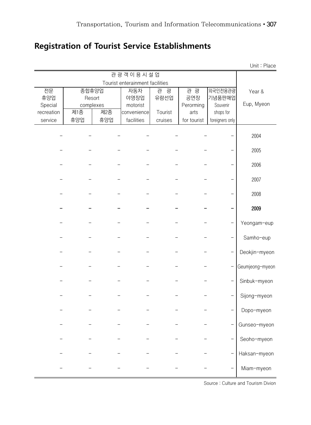### **Registration of Tourist Service Establishments**

|                       |       |                  |                                 |         |                   |                       | Unit: Place     |
|-----------------------|-------|------------------|---------------------------------|---------|-------------------|-----------------------|-----------------|
|                       |       |                  | 관광객이용시설업                        |         |                   |                       |                 |
|                       |       |                  | Tourist enterainment facilities |         |                   |                       |                 |
| 전문                    | 종합휴양업 |                  | 자동차                             | 관광      | 관 광               | 외국인전용관광               | Year &          |
| 휴양업                   |       | Resort           | 야영장업                            | 유람선업    | 공연장               | 기념품판매업                | Eup, Myeon      |
| Special<br>recreation | 제종    | complexes<br>제2종 | motorist<br>convenience         | Tourist | Perorming<br>arts | Souvenir<br>shops for |                 |
| service               | 휴양업   | 휴양업              | facilities                      | cruises | for tourist       | foreigners only       |                 |
|                       |       |                  |                                 |         |                   |                       |                 |
|                       |       |                  |                                 |         |                   |                       | 2004            |
|                       |       |                  |                                 |         |                   |                       | 2005            |
|                       |       |                  |                                 |         |                   |                       | 2006            |
|                       |       |                  |                                 |         |                   |                       | 2007            |
|                       |       |                  |                                 |         |                   |                       | 2008            |
|                       |       |                  |                                 |         |                   |                       | 2009            |
|                       |       |                  |                                 |         |                   |                       | Yeongam-eup     |
|                       |       |                  |                                 |         |                   |                       | Samho-eup       |
|                       |       |                  |                                 |         |                   |                       | Deokjin-myeon   |
|                       |       |                  |                                 |         |                   |                       | Geumjeong-myeon |
|                       |       |                  |                                 |         |                   |                       | Sinbuk-myeon    |
|                       |       |                  |                                 |         |                   |                       | Sijong-myeon    |
|                       |       |                  |                                 |         |                   |                       | Dopo-myeon      |
|                       |       |                  |                                 |         |                   |                       | Gunseo-myeon    |
|                       |       |                  |                                 |         |                   |                       | Seoho-myeon     |
|                       |       |                  |                                 |         |                   |                       | Haksan-myeon    |
|                       |       |                  |                                 |         |                   |                       | Miam-myeon      |

Source : Culture and Tourism Divion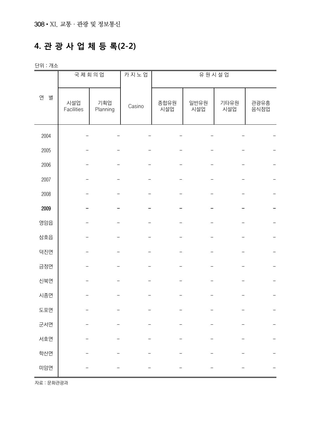### **4. 관 광 사 업 체 등 록(2-2)**

단위 : 개소

|        | 국제회의업             |                 | 카지노업   |             | 유원시설업       |             |              |
|--------|-------------------|-----------------|--------|-------------|-------------|-------------|--------------|
| 연<br>별 | 시설업<br>Facilities | 기획업<br>Planning | Casino | 종합유원<br>시설업 | 일반유원<br>시설업 | 기타유원<br>시설업 | 관광유흥<br>음식점업 |
| 2004   |                   |                 |        |             |             |             |              |
| 2005   |                   |                 |        |             |             |             |              |
| 2006   |                   |                 |        |             |             |             |              |
| 2007   |                   |                 |        |             |             |             |              |
| 2008   |                   |                 |        |             |             |             |              |
| 2009   |                   |                 |        |             |             |             |              |
| 영암읍    |                   |                 |        |             |             |             |              |
| 삼호읍    |                   |                 |        |             |             |             |              |
| 덕진면    |                   |                 |        |             |             |             |              |
| 금정면    |                   |                 |        |             |             |             |              |
| 신북면    |                   |                 |        |             |             |             |              |
| 시종면    |                   |                 |        |             |             |             |              |
| 도포면    |                   |                 |        |             |             |             |              |
| 군서면    |                   |                 |        |             |             |             |              |
| 서호면    |                   |                 |        |             |             |             |              |
| 학산면    |                   |                 |        |             |             |             |              |
| 미암면    |                   |                 |        |             |             |             |              |

자료 : 문화관광과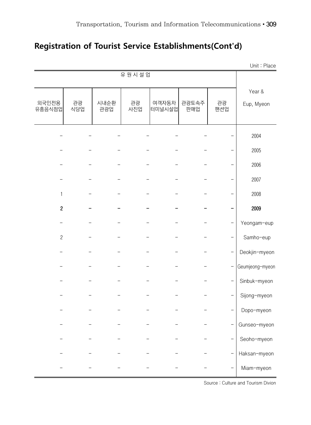#### **Registration of Tourist Service Establishments(Cont'd)**

|                  |           |             |           |                 |              |                | Unit: Place          |
|------------------|-----------|-------------|-----------|-----------------|--------------|----------------|----------------------|
|                  |           |             | 유원시설업     |                 |              |                |                      |
| 외국인전용<br>유흥음식점업  | 관광<br>식당업 | 시내순환<br>관광업 | 관광<br>사진업 | 여객자동차<br>터미널시설업 | 관광토속주<br>판매업 | 관광<br>팬션업      | Year &<br>Eup, Myeon |
|                  |           |             |           |                 |              |                | 2004                 |
|                  |           |             |           |                 |              |                | 2005                 |
|                  |           |             |           |                 |              |                | 2006                 |
|                  |           |             |           |                 |              |                | 2007                 |
| $\mathbf{1}$     |           |             |           |                 |              |                | 2008                 |
| $\boldsymbol{2}$ |           |             |           |                 |              |                | 2009                 |
|                  |           |             |           |                 |              |                | Yeongam-eup          |
| $\overline{c}$   |           |             |           |                 |              |                | Samho-eup            |
|                  |           |             |           |                 |              |                | Deokjin-myeon        |
|                  |           |             |           |                 |              |                | Geumjeong-myeon      |
|                  |           |             |           |                 |              | $\overline{a}$ | Sinbuk-myeon         |
|                  |           |             |           |                 |              |                | Sijong-myeon         |
|                  |           |             |           |                 |              |                | Dopo-myeon           |
|                  |           |             |           |                 |              |                | Gunseo-myeon         |
|                  |           |             |           |                 |              |                | Seoho-myeon          |
|                  |           |             |           |                 |              | —              | Haksan-myeon         |
|                  |           |             |           |                 |              |                | Miam-myeon           |

Source : Culture and Tourism Divion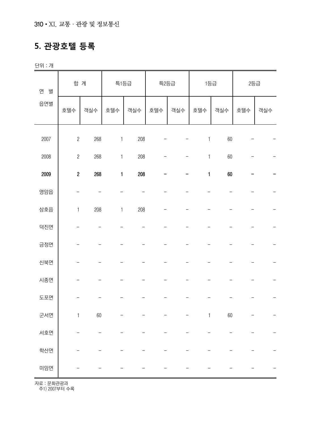### **5. 관광호텔 등록**

단위 : 개

| 연<br>별 | 합 계              |     | 특1등급         |     | 특2등급 |     | 1등급          |     | 2등급 |     |
|--------|------------------|-----|--------------|-----|------|-----|--------------|-----|-----|-----|
| 읍면별    | 호텔수              | 객실수 | 호텔수          | 객실수 | 호텔수  | 객실수 | 호텔수          | 객실수 | 호텔수 | 객실수 |
| 2007   | $\overline{c}$   | 268 | $\mathbf{1}$ | 208 |      |     | $\mathbf{1}$ | 60  |     |     |
| 2008   | $\overline{c}$   | 268 | $\mathbf{1}$ | 208 |      |     | $\mathbf{1}$ | 60  |     |     |
| 2009   | $\boldsymbol{2}$ | 268 | $\mathbf{1}$ | 208 |      |     | $\mathbf{1}$ | 60  |     |     |
| 영암읍    |                  |     |              |     |      |     |              |     |     |     |
| 삼호읍    | $\mathbf{1}$     | 208 | $\mathbf{1}$ | 208 |      |     |              |     |     |     |
| 덕진면    |                  |     |              |     |      |     |              |     |     |     |
| 금정면    |                  |     |              |     |      |     |              |     |     |     |
| 신북면    |                  |     |              |     |      |     |              |     |     |     |
| 시종면    |                  |     |              |     |      |     |              |     |     |     |
| 도포면    |                  |     |              |     |      |     |              |     |     |     |
| 군서면    | $\mathbf{1}$     | 60  |              |     |      |     | $\mathbf{1}$ | 60  |     |     |
| 서호면    |                  |     |              |     |      |     |              |     |     |     |
| 학산면    |                  |     |              |     |      |     |              |     |     |     |
| 미암면    |                  |     |              |     |      |     |              |     |     |     |

자료 : 문화관광과

.<br>주1) 2007부터 수록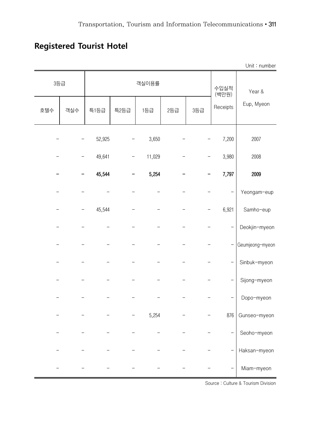## **Registered Tourist Hotel**

|     |     |        |      |        |     |     |               | Unit: number    |
|-----|-----|--------|------|--------|-----|-----|---------------|-----------------|
|     | 3등급 | 객실이용률  |      |        |     |     | 수입실적<br>(백만원) | Year &          |
| 호텔수 | 객실수 | 특1등급   | 특2등급 | 1등급    | 2등급 | 3등급 | Receipts      | Eup, Myeon      |
|     |     | 52,925 |      | 3,650  |     |     | 7,200         | 2007            |
|     |     | 49,641 |      | 11,029 |     |     | 3,980         | 2008            |
|     |     | 45,544 |      | 5,254  |     |     | 7,797         | 2009            |
|     |     |        |      |        |     |     |               | Yeongam-eup     |
|     |     | 45,544 |      |        |     |     | 6,921         | Samho-eup       |
|     |     |        |      |        |     |     |               | Deokjin-myeon   |
|     |     |        |      |        |     |     |               | Geumjeong-myeon |
|     |     |        |      |        |     |     |               | Sinbuk-myeon    |
|     |     |        |      |        |     |     |               | Sijong-myeon    |
|     |     |        |      |        |     |     |               | Dopo-myeon      |
|     |     |        |      | 5,254  |     |     | 876           | Gunseo-myeon    |
|     |     |        |      |        |     |     |               | Seoho-myeon     |
|     |     |        |      |        |     |     |               | Haksan-myeon    |
|     |     |        |      |        |     |     |               | Miam-myeon      |

Source : Culture & Tourism Division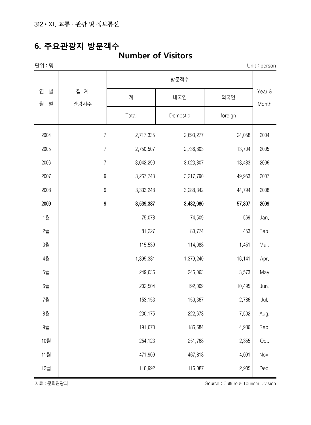#### **6. 주요관광지 방문객수**

#### **Number of Visitors**

|             |           |                                                                                                                |         | Unit: $person$  |
|-------------|-----------|----------------------------------------------------------------------------------------------------------------|---------|-----------------|
|             |           |                                                                                                                |         |                 |
| 집 계<br>관광지수 | 계         | 내국인                                                                                                            | 외국인     | Year &<br>Month |
|             | Total     | Domestic                                                                                                       | foreign |                 |
|             | 2,717,335 | 2,693,277                                                                                                      | 24,058  | 2004            |
|             | 2,750,507 | 2,736,803                                                                                                      | 13,704  | 2005            |
|             | 3,042,290 | 3,023,807                                                                                                      | 18,483  | 2006            |
|             | 3,267,743 | 3,217,790                                                                                                      | 49,953  | 2007            |
|             | 3,333,248 | 3,288,342                                                                                                      | 44,794  | 2008            |
|             | 3,539,387 | 3,482,080                                                                                                      | 57,307  | 2009            |
|             | 75,078    | 74,509                                                                                                         | 569     | Jan.            |
|             | 81,227    | 80,774                                                                                                         | 453     | Feb.            |
|             | 115,539   | 114,088                                                                                                        | 1,451   | Mar.            |
|             | 1,395,381 | 1,379,240                                                                                                      | 16,141  | Apr.            |
|             | 249,636   | 246,063                                                                                                        | 3,573   | May             |
|             | 202,504   | 192,009                                                                                                        | 10,495  | Jun.            |
|             | 153,153   | 150,367                                                                                                        | 2,786   | Jul.            |
|             | 230,175   | 222,673                                                                                                        | 7,502   | Aug.            |
|             | 191,670   | 186,684                                                                                                        | 4,986   | Sep.            |
|             | 254,123   | 251,768                                                                                                        | 2,355   | Oct.            |
|             | 471,909   | 467,818                                                                                                        | 4,091   | Nov.            |
|             | 118,992   | 116,087                                                                                                        | 2,905   | Dec.            |
|             |           | $\overline{7}$<br>$\overline{7}$<br>$\overline{7}$<br>$\boldsymbol{9}$<br>$\boldsymbol{9}$<br>$\boldsymbol{9}$ | 방문객수    |                 |

자료 : 문화관광과 Source : Culture & Tourism Division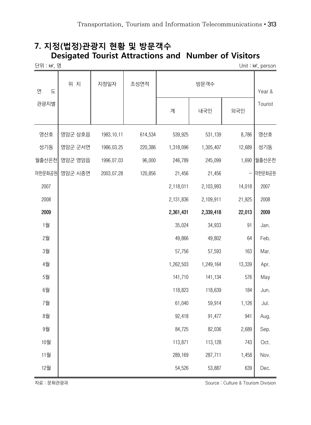#### **7. 지정(법정)관광지 현황 및 방문객수 Desigated Tourist Attractions and Number of Visitors**

| 단위 : km2, 명 |         |            |         |           |           |                          | Unit: km <sup>2</sup> , person |
|-------------|---------|------------|---------|-----------|-----------|--------------------------|--------------------------------|
| 연<br>도      | 위 치     | 지정일자       | 조성면적    |           | 방문객수      |                          | Year &                         |
| 관광지별        |         |            |         | 계         | 내국인       | 외국인                      | Tourist                        |
| 영산호         | 영암군 삼호읍 | 1983.10.11 | 614,534 | 539,925   | 531,139   | 8,786                    | 영산호                            |
| 성기동         | 영암군 군서면 | 1986.03.25 | 220,386 | 1,318,096 | 1,305,407 | 12,689                   | 성기동                            |
| 월출산온천       | 영암군 영암읍 | 1996.07.03 | 96,000  | 246,789   | 245,099   | 1,690                    | 월출산온천                          |
| 마한문화공원      | 영암군 시종면 | 2003.07.28 | 120,856 | 21,456    | 21,456    | $\overline{\phantom{0}}$ | 마한문화공원                         |
| 2007        |         |            |         | 2,118,011 | 2,103,993 | 14,018                   | 2007                           |
| 2008        |         |            |         | 2,131,836 | 2,109,911 | 21,925                   | 2008                           |
| 2009        |         |            |         | 2,361,431 | 2,339,418 | 22,013                   | 2009                           |
| 1월          |         |            |         | 35,024    | 34,933    | 91                       | Jan.                           |
| 2월          |         |            |         | 49,866    | 49,802    | 64                       | Feb.                           |
| 3월          |         |            |         | 57,756    | 57,593    | 163                      | Mar.                           |
| 4월          |         |            |         | 1,262,503 | 1,249,164 | 13,339                   | Apr.                           |
| 5월          |         |            |         | 141,710   | 141,134   | 576                      | May                            |
| 6월          |         |            |         | 118,823   | 118,639   | 184                      | Jun.                           |
| 7월          |         |            |         | 61,040    | 59,914    | 1,126                    | Jul.                           |
| 8월          |         |            |         | 92,418    | 91,477    | 941                      | Aug.                           |
| 9월          |         |            |         | 84,725    | 82,036    | 2,689                    | Sep.                           |
| 10월         |         |            |         | 113,871   | 113,128   | 743                      | Oct.                           |
| 11월         |         |            |         | 289,169   | 287,711   | 1,458                    | Nov.                           |
| 12월         |         |            |         | 54,526    | 53,887    | 639                      | Dec.                           |

자료 : 문화관광과 Source : Culture & Tourism Division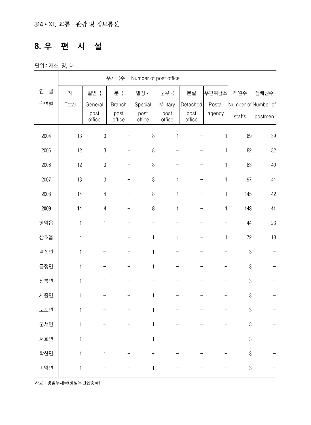## **8. 우 편 시 설**

단위 : 개소, 명, 대

|        | 우체국수<br>Number of post office |                |                |                |                |                |              |                  |                     |
|--------|-------------------------------|----------------|----------------|----------------|----------------|----------------|--------------|------------------|---------------------|
| 연<br>별 | 계                             | 일반국            | 분국             | 별정국            | 군우국            | 분실             | 우편취급소        | 직원수              | 집배원수                |
| 읍면별    | Total                         | General        | <b>Branch</b>  | Special        | Military       | Detached       | Postal       |                  | Number of Number of |
|        |                               | post<br>office | post<br>office | post<br>office | post<br>office | post<br>office | agency       | staffs           | postmen             |
| 2004   | 13                            | $\mathfrak 3$  |                | $\,8\,$        | $\mathbf{1}$   |                | 1            | 89               | 39                  |
| 2005   | 12                            | $\mathfrak{Z}$ |                | $\, 8$         |                |                | 1            | 82               | 32                  |
| 2006   | 12                            | $\sqrt{3}$     |                | $\, 8$         |                |                | 1            | 83               | 40                  |
| 2007   | 13                            | $\mathfrak 3$  |                | $\,8\,$        | $\mathbf{1}$   |                | 1            | 97               | 41                  |
| 2008   | 14                            | $\sqrt{4}$     |                | $\,8\,$        | $\mathbf{1}$   |                | $\mathbf{1}$ | 145              | 42                  |
| 2009   | 14                            | 4              |                | 8              | $\mathbf{1}$   |                | $\mathbf{1}$ | 143              | 41                  |
| 영암읍    | $\mathbf{1}$                  | $\mathbf{1}$   |                |                |                |                |              | 44               | 23                  |
| 삼호읍    | $\sqrt{4}$                    | $\mathbf{1}$   |                | $\mathbf{1}$   | 1              |                | 1            | 72               | 18                  |
| 덕진면    | $\mathbf{1}$                  |                |                | 1              |                |                |              | $\boldsymbol{3}$ |                     |
| 금정면    | $\mathbf{1}$                  |                |                | 1              |                |                |              | $\sqrt{3}$       |                     |
| 신북면    | $\mathbf{1}$                  | $\mathbf{1}$   |                |                |                |                |              | $\sqrt{3}$       |                     |
| 시종면    | 1                             |                |                | $\mathbf{1}$   |                |                |              | $\sqrt{3}$       |                     |
| 도포면    | $\mathbf 1$                   |                |                | 1              |                |                |              | $\sqrt{3}$       |                     |
| 군서면    | 1                             |                |                | $\mathbf{1}$   |                |                |              | $\sqrt{3}$       |                     |
| 서호면    | 1                             |                |                |                |                |                |              | $\sqrt{3}$       |                     |
| 학산면    | 1                             | 1              |                |                |                |                |              | $\sqrt{3}$       |                     |
| 미암면    | 1                             |                |                | 1              |                |                |              | $\sqrt{3}$       |                     |

자료 : 영암우체국(영암우편집중국)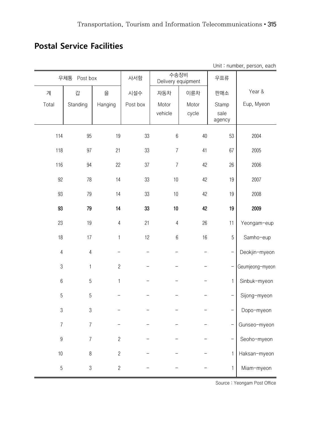#### **Postal Service Facilities**

| Unit: number, person, each |                |                               |          |                            |       |                |                 |  |
|----------------------------|----------------|-------------------------------|----------|----------------------------|-------|----------------|-----------------|--|
|                            | 우체통 Post box   |                               | 사서함      | 수송장비<br>Delivery equipment |       | 우표류            |                 |  |
| 계                          | 갑              | $\overset{\text{\tiny O}}{=}$ | 시설수      | 자동차                        | 이륜차   | 판매소            | Year &          |  |
| Total                      | Standing       | Hanging                       | Post box | Motor                      | Motor | Stamp          | Eup, Myeon      |  |
|                            |                |                               |          | vehicle                    | cycle | sale<br>agency |                 |  |
| 114                        | 95             | 19                            | 33       | $\,6$                      | 40    | 53             | 2004            |  |
| 118                        | 97             | 21                            | 33       | $\overline{7}$             | 41    | 67             | 2005            |  |
| 116                        | 94             | 22                            | 37       | $\overline{7}$             | 42    | 26             | 2006            |  |
| 92                         | 78             | 14                            | 33       | $10$                       | 42    | 19             | 2007            |  |
| 93                         | 79             | 14                            | 33       | $10$                       | 42    | 19             | 2008            |  |
| 93                         | 79             | 14                            | 33       | $10\,$                     | 42    | 19             | 2009            |  |
| 23                         | 19             | $\sqrt{4}$                    | 21       | $\overline{4}$             | 26    | 11             | Yeongam-eup     |  |
| 18                         | 17             | $\mathbf{1}$                  | 12       | $\boldsymbol{6}$           | 16    | 5              | Samho-eup       |  |
| $\overline{4}$             | $\sqrt{4}$     |                               |          |                            |       |                | Deokjin-myeon   |  |
| $\sqrt{3}$                 | 1              | $\sqrt{2}$                    |          |                            |       |                | Geumjeong-myeon |  |
| $6\,$                      | 5              | $\mathbf{1}$                  |          |                            |       | $\mathbf{1}$   | Sinbuk-myeon    |  |
| $\overline{5}$             | 5              |                               |          |                            |       |                | Sijong-myeon    |  |
| $\sqrt{3}$                 | $\mathfrak 3$  |                               |          |                            |       |                | Dopo-myeon      |  |
| 7                          | 7              |                               |          |                            |       |                | Gunseo-myeon    |  |
| $\boldsymbol{9}$           | $\overline{7}$ | $\sqrt{2}$                    |          |                            |       |                | Seoho-myeon     |  |
| $10\,$                     | $\, 8$         | $\mathbf{2}$                  |          |                            |       | 1              | Haksan-myeon    |  |
| $\sqrt{5}$                 | $\sqrt{3}$     | $\mathbf{2}$                  |          |                            |       | 1              | Miam-myeon      |  |

Source : Yeongam Post Office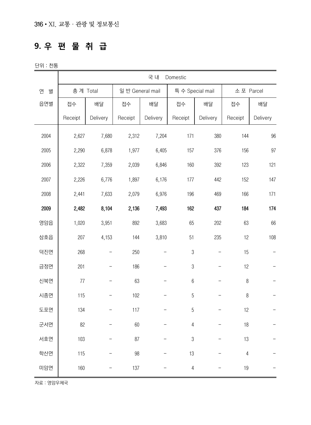## **9. 우 편 물 취 급**

단위 : 천통

|        | 국 내<br>Domestic |                          |                  |          |                  |          |                |          |  |
|--------|-----------------|--------------------------|------------------|----------|------------------|----------|----------------|----------|--|
| 연<br>별 | 총계 Total        |                          | 일 반 General mail |          | 특 수 Special mail |          | 소포 Parcel      |          |  |
| 읍면별    | 접수              | 배달                       | 접수               | 배달       | 접수               | 배달       | 접수             | 배달       |  |
|        | Receipt         | Delivery                 | Receipt          | Delivery | Receipt          | Delivery | Receipt        | Delivery |  |
| 2004   | 2,627           | 7,680                    | 2,312            | 7,204    | 171              | 380      | 144            | 96       |  |
| 2005   | 2,290           | 6,878                    | 1,977            | 6,405    | 157              | 376      | 156            | 97       |  |
| 2006   | 2,322           | 7,359                    | 2,039            | 6,846    | 160              | 392      | 123            | 121      |  |
| 2007   | 2,226           | 6,776                    | 1,897            | 6,176    | 177              | 442      | 152            | 147      |  |
| 2008   | 2,441           | 7,633                    | 2,079            | 6,976    | 196              | 469      | 166            | 171      |  |
| 2009   | 2,482           | 8,104                    | 2,136            | 7,493    | 162              | 437      | 184            | 174      |  |
| 영암읍    | 1,020           | 3,951                    | 892              | 3,683    | 65               | 202      | 63             | 66       |  |
| 삼호읍    | 207             | 4,153                    | 144              | 3,810    | 51               | 235      | 12             | 108      |  |
| 덕진면    | 268             | $\overline{\phantom{0}}$ | 250              |          | $\sqrt{3}$       |          | 15             |          |  |
| 금정면    | 201             |                          | 186              |          | $\sqrt{3}$       |          | 12             |          |  |
| 신북면    | 77              | —                        | 63               |          | $6\,$            |          | $\, 8$         |          |  |
| 시종면    | 115             |                          | 102              |          | 5                |          | $\, 8$         |          |  |
| 도포면    | 134             | -                        | 117              |          | 5                |          | 12             |          |  |
| 군서면    | 82              |                          | 60               |          | 4                |          | 18             |          |  |
| 서호면    | 103             |                          | 87               |          | $\sqrt{3}$       |          | 13             |          |  |
| 학산면    | 115             |                          | 98               |          | 13               |          | $\overline{4}$ |          |  |
| 미암면    | 160             |                          | 137              |          | 4                |          | 19             |          |  |

자료 : 영암우체국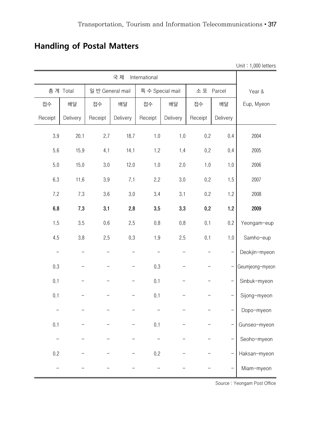## Unit : 1,000 letters 국 제 International Year & Eup, Myeon 총 계 Total 일 반 General mail 특 수 Special mail 소 포 Parcel 접수 | 배달 | 배달 | 접수 | 배달 | 접수 | 배달 Receipt | Delivery | Receipt | Delivery | Receipt | Delivery | Receipt | Delivery 3.9 20.1 2.7 18.7 1.0 1.0 0.2 0.4 2004 5.6 15.9 4.1 14.1 1.2 1.4 0.2 0.4 2005 5.0 15.0 3.0 12.0 1.0 2.0 1.0 1.0 2006 6.3 11.6 3.9 7.1 2.2 3.0 0.2 1.5 2007 7.2 7.3 3.6 3.0 3.4 3.1 0.2 1.2 2008 6.8 7.3 3.1 2.8 3.5 3.3 0.2 1.2 2009 1.5 3.5 0.6 2.5 0.8 0.8 0.1 0.2 Yeongam-eup 4.5 3.8 2.5 0.3 1.9 2.5 0.1 1.0 Samho-eup - - - - - - - - - - - - - Deokjin-myeon 0.3 - - - - 0.3 - - - Geumjeong-myeon 0.1 - - - 0.1 - - - Sinbuk-myeon 0.1 - - - 0.1 - - - Sijong-myeon - - - - - - - - - - - - - Dopo-myeon 0.1 - - - - 0.1 - - - - Gunseo-myeon - - - - - - - - - - - - - - Seoho-myeon 0.2 - - - 0.2 - - - Haksan-myeon - - - - - - - - - - - - Hiam-myeon

#### **Handling of Postal Matters**

Source : Yeongam Post Office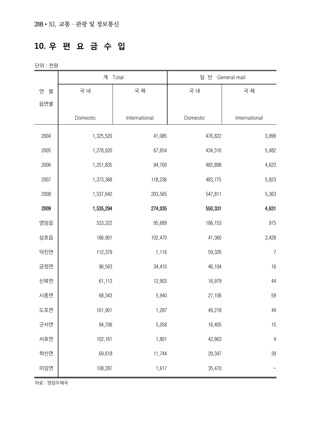### **10. 우 편 요 금 수 입**

단위 : 천원

|        |           | 계 Total       | 일 반 General mail |                |  |
|--------|-----------|---------------|------------------|----------------|--|
| 연<br>별 | 국 내       | 국 제           | 국 내              | 국 제            |  |
| 읍면별    |           |               |                  |                |  |
|        | Domestic  | International | Domestic         | International  |  |
| 2004   | 1,325,520 | 41,085        | 476,822          | 3,999          |  |
| 2005   | 1,278,020 | 67,654        | 434,316          | 5,482          |  |
| 2006   | 1,251,835 | 94,700        | 482,898          | 4,623          |  |
| 2007   | 1,373,368 | 118,236       | 483,775          | 5,823          |  |
| 2008   | 1,537,642 | 203,565       | 547,811          | 5,363          |  |
| 2009   | 1,535,294 | 274,035       | 550,331          | 4,631          |  |
| 영암읍    | 533,322   | 95,689        | 186,153          | 975            |  |
| 삼호읍    | 186,901   | 102,470       | 41,360           | 3,428          |  |
| 덕진면    | 112,379   | 1,116         | 59,326           | $\overline{I}$ |  |
| 금정면    | 96,563    | 34,410        | 46,104           | 16             |  |
| 신북면    | 61,113    | 12,903        | 16,979           | 44             |  |
| 시종면    | 68,343    | 5,940         | 27,106           | 59             |  |
| 도포면    | 101,901   | 1,287         | 49,218           | 44             |  |
| 군서면    | 94,706    | 5,058         | 16,405           | 15             |  |
| 서호면    | 102,161   | 1,801         | 42,863           | $\overline{4}$ |  |
| 학산면    | 69,618    | 11,744        | 29,347           | 39             |  |
| 미암면    | 108,287   | 1,617         | 35,470           |                |  |

자료 : 영암우체국